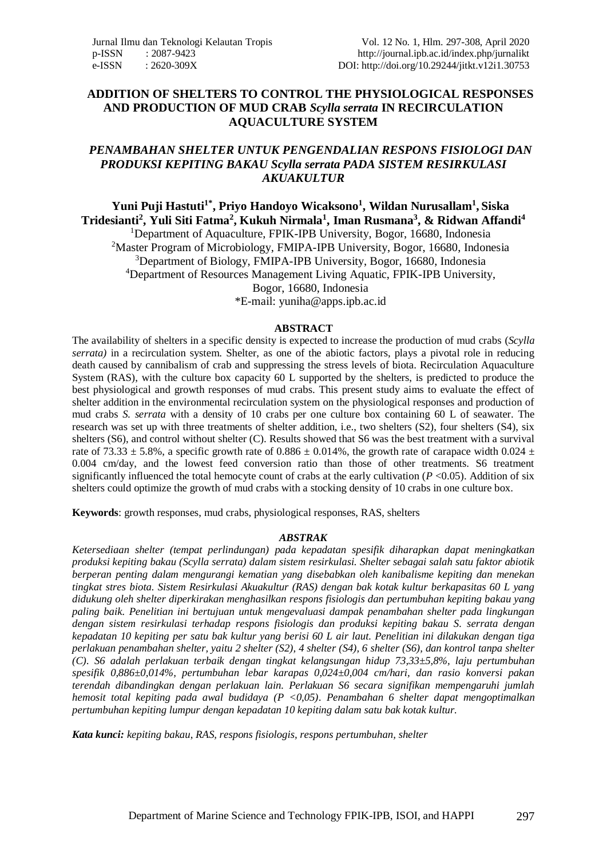#### **ADDITION OF SHELTERS TO CONTROL THE PHYSIOLOGICAL RESPONSES AND PRODUCTION OF MUD CRAB** *Scylla serrata* **IN RECIRCULATION AQUACULTURE SYSTEM**

#### *PENAMBAHAN SHELTER UNTUK PENGENDALIAN RESPONS FISIOLOGI DAN PRODUKSI KEPITING BAKAU Scylla serrata PADA SISTEM RESIRKULASI AKUAKULTUR*

**Yuni Puji Hastuti1\*, Priyo Handoyo Wicaksono<sup>1</sup> , Wildan Nurusallam<sup>1</sup> , Siska Tridesianti<sup>2</sup> , Yuli Siti Fatma<sup>2</sup> , Kukuh Nirmala<sup>1</sup> , Iman Rusmana<sup>3</sup> , & Ridwan Affandi<sup>4</sup>** <sup>1</sup>Department of Aquaculture, FPIK-IPB University, Bogor, 16680, Indonesia <sup>2</sup>Master Program of Microbiology, FMIPA-IPB University, Bogor, 16680, Indonesia <sup>3</sup>Department of Biology, FMIPA-IPB University, Bogor, 16680, Indonesia <sup>4</sup>Department of Resources Management Living Aquatic, FPIK-IPB University, Bogor, 16680, Indonesia

\*E-mail: [yuniha@apps.ipb.ac.id](mailto:yuniha@apps.ipb.ac.id)

#### **ABSTRACT**

The availability of shelters in a specific density is expected to increase the production of mud crabs (*Scylla serrata)* in a recirculation system. Shelter, as one of the abiotic factors, plays a pivotal role in reducing death caused by cannibalism of crab and suppressing the stress levels of biota. Recirculation Aquaculture System (RAS), with the culture box capacity 60 L supported by the shelters, is predicted to produce the best physiological and growth responses of mud crabs. This present study aims to evaluate the effect of shelter addition in the environmental recirculation system on the physiological responses and production of mud crabs *S. serrata* with a density of 10 crabs per one culture box containing 60 L of seawater. The research was set up with three treatments of shelter addition, i.e., two shelters (S2), four shelters (S4), six shelters (S6), and control without shelter (C). Results showed that S6 was the best treatment with a survival rate of 73.33  $\pm$  5.8%, a specific growth rate of 0.886  $\pm$  0.014%, the growth rate of carapace width 0.024  $\pm$ 0.004 cm/day, and the lowest feed conversion ratio than those of other treatments. S6 treatment significantly influenced the total hemocyte count of crabs at the early cultivation  $(P<0.05)$ . Addition of six shelters could optimize the growth of mud crabs with a stocking density of 10 crabs in one culture box.

**Keywords**: growth responses, mud crabs, physiological responses, RAS, shelters

#### *ABSTRAK*

*Ketersediaan shelter (tempat perlindungan) pada kepadatan spesifik diharapkan dapat meningkatkan produksi kepiting bakau (Scylla serrata) dalam sistem resirkulasi. Shelter sebagai salah satu faktor abiotik berperan penting dalam mengurangi kematian yang disebabkan oleh kanibalisme kepiting dan menekan tingkat stres biota. Sistem Resirkulasi Akuakultur (RAS) dengan bak kotak kultur berkapasitas 60 L yang didukung oleh shelter diperkirakan menghasilkan respons fisiologis dan pertumbuhan kepiting bakau yang paling baik. Penelitian ini bertujuan untuk mengevaluasi dampak penambahan shelter pada lingkungan dengan sistem resirkulasi terhadap respons fisiologis dan produksi kepiting bakau S. serrata dengan kepadatan 10 kepiting per satu bak kultur yang berisi 60 L air laut. Penelitian ini dilakukan dengan tiga perlakuan penambahan shelter, yaitu 2 shelter (S2), 4 shelter (S4), 6 shelter (S6), dan kontrol tanpa shelter (C). S6 adalah perlakuan terbaik dengan tingkat kelangsungan hidup 73,33±5,8%, laju pertumbuhan spesifik 0,886±0,014%, pertumbuhan lebar karapas 0,024±0,004 cm/hari, dan rasio konversi pakan terendah dibandingkan dengan perlakuan lain. Perlakuan S6 secara signifikan mempengaruhi jumlah hemosit total kepiting pada awal budidaya (P <0,05). Penambahan 6 shelter dapat mengoptimalkan pertumbuhan kepiting lumpur dengan kepadatan 10 kepiting dalam satu bak kotak kultur.*

*Kata kunci: kepiting bakau*, *RAS, respons fisiologis, respons pertumbuhan, shelter*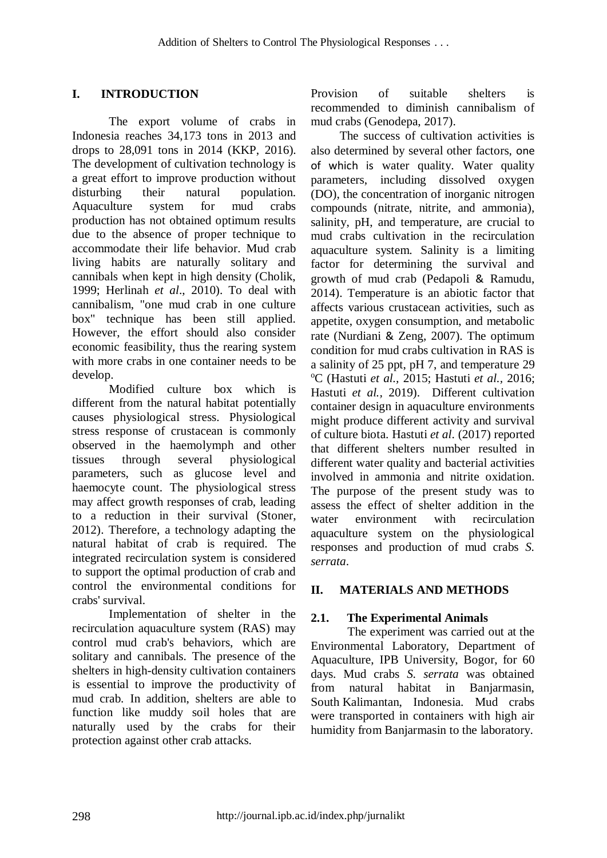# **I. INTRODUCTION**

The export volume of crabs in Indonesia reaches 34,173 tons in 2013 and drops to 28,091 tons in 2014 (KKP, 2016). The development of cultivation technology is a great effort to improve production without disturbing their natural population. Aquaculture system for mud crabs production has not obtained optimum results due to the absence of proper technique to accommodate their life behavior. Mud crab living habits are naturally solitary and cannibals when kept in high density (Cholik, 1999; Herlinah *et al*., 2010). To deal with cannibalism, "one mud crab in one culture box" technique has been still applied. However, the effort should also consider economic feasibility, thus the rearing system with more crabs in one container needs to be develop.

Modified culture box which is different from the natural habitat potentially causes physiological stress. Physiological stress response of crustacean is commonly observed in the haemolymph and other tissues through several physiological parameters, such as glucose level and haemocyte count. The physiological stress may affect growth responses of crab, leading to a reduction in their survival (Stoner, 2012). Therefore, a technology adapting the natural habitat of crab is required. The integrated recirculation system is considered to support the optimal production of crab and control the environmental conditions for crabs' survival.

Implementation of shelter in the recirculation aquaculture system (RAS) may control mud crab's behaviors, which are solitary and cannibals. The presence of the shelters in high-density cultivation containers is essential to improve the productivity of mud crab. In addition, shelters are able to function like muddy soil holes that are naturally used by the crabs for their protection against other crab attacks.

Provision of suitable shelters is recommended to diminish cannibalism of mud crabs (Genodepa, 2017).

The success of cultivation activities is also determined by several other factors, one of which is water quality. Water quality parameters, including dissolved oxygen (DO), the concentration of inorganic nitrogen compounds (nitrate, nitrite, and ammonia), salinity, pH, and temperature, are crucial to mud crabs cultivation in the recirculation aquaculture system. Salinity is a limiting factor for determining the survival and growth of mud crab (Pedapoli & Ramudu, 2014). Temperature is an abiotic factor that affects various crustacean activities, such as appetite, oxygen consumption, and metabolic rate (Nurdiani & Zeng, 2007). The optimum condition for mud crabs cultivation in RAS is a salinity of 25 ppt, pH 7, and temperature 29 <sup>o</sup>C (Hastuti *et al.,* 2015; Hastuti *et al.,* 2016; Hastuti *et al.,* 2019). Different cultivation container design in aquaculture environments might produce different activity and survival of culture biota. Hastuti *et al*. (2017) reported that different shelters number resulted in different water quality and bacterial activities involved in ammonia and nitrite oxidation. The purpose of the present study was to assess the effect of shelter addition in the water environment with recirculation aquaculture system on the physiological responses and production of mud crabs *S. serrata*.

### **II. MATERIALS AND METHODS**

### **2.1. The Experimental Animals**

The experiment was carried out at the Environmental Laboratory, Department of Aquaculture, IPB University, Bogor, for 60 days. Mud crabs *S. serrata* was obtained from natural habitat in Banjarmasin, South Kalimantan, Indonesia. Mud crabs were transported in containers with high air humidity from Banjarmasin to the laboratory.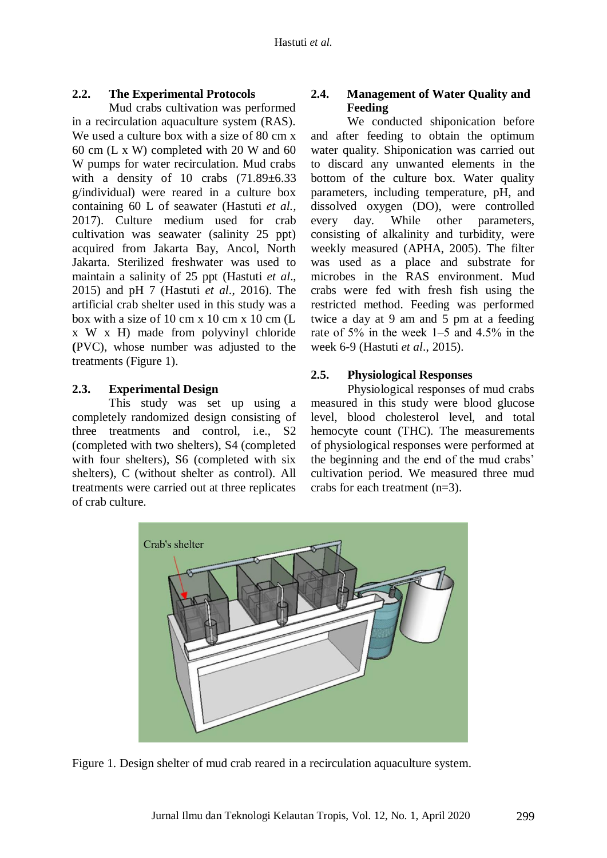### **2.2. The Experimental Protocols**

Mud crabs cultivation was performed in a recirculation aquaculture system (RAS). We used a culture box with a size of 80 cm x 60 cm (L x W) completed with 20 W and 60 W pumps for water recirculation. Mud crabs with a density of 10 crabs  $(71.89 \pm 6.33)$ g/individual) were reared in a culture box containing 60 L of seawater (Hastuti *et al.,* 2017). Culture medium used for crab cultivation was seawater (salinity 25 ppt) acquired from Jakarta Bay, Ancol, North Jakarta. Sterilized freshwater was used to maintain a salinity of 25 ppt (Hastuti *et al*., 2015) and pH 7 (Hastuti *et al*., 2016). The artificial crab shelter used in this study was a box with a size of 10 cm x 10 cm x 10 cm  $(L)$ x W x H) made from polyvinyl chloride **(**PVC), whose number was adjusted to the treatments (Figure 1).

#### **2.3. Experimental Design**

This study was set up using a completely randomized design consisting of three treatments and control, i.e., S2 (completed with two shelters), S4 (completed with four shelters), S6 (completed with six shelters), C (without shelter as control). All treatments were carried out at three replicates of crab culture.

# **2.4. Management of Water Quality and Feeding**

We conducted shiponication before and after feeding to obtain the optimum water quality. Shiponication was carried out to discard any unwanted elements in the bottom of the culture box. Water quality parameters, including temperature, pH, and dissolved oxygen (DO), were controlled every day. While other parameters, consisting of alkalinity and turbidity, were weekly measured (APHA, 2005). The filter was used as a place and substrate for microbes in the RAS environment. Mud crabs were fed with fresh fish using the restricted method. Feeding was performed twice a day at 9 am and 5 pm at a feeding rate of 5% in the week 1–5 and 4.5% in the week 6-9 (Hastuti *et al*., 2015).

#### **2.5. Physiological Responses**

Physiological responses of mud crabs measured in this study were blood glucose level, blood cholesterol level, and total hemocyte count (THC). The measurements of physiological responses were performed at the beginning and the end of the mud crabs' cultivation period. We measured three mud crabs for each treatment (n=3).



Figure 1. Design shelter of mud crab reared in a recirculation aquaculture system.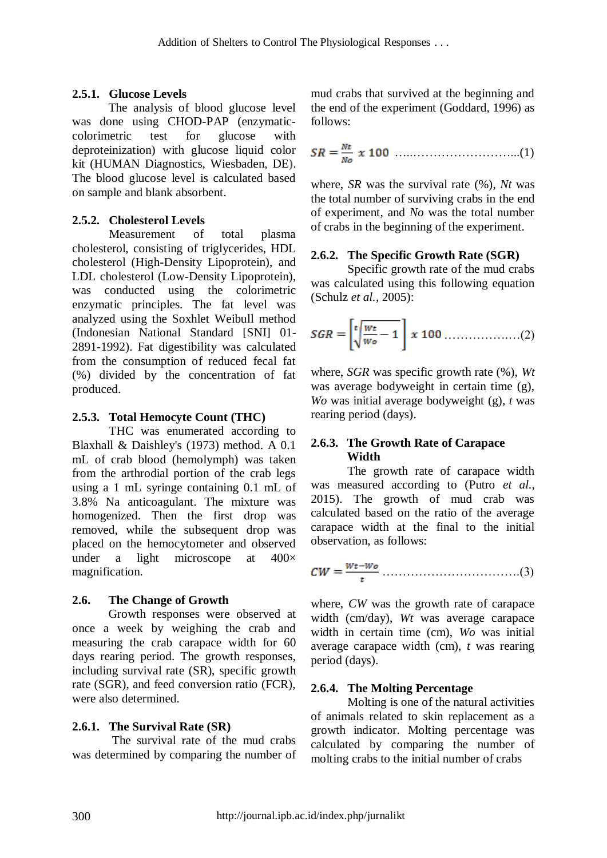## **2.5.1. Glucose Levels**

The analysis of blood glucose level was done using CHOD-PAP (enzymaticcolorimetric test for glucose with deproteinization) with glucose liquid color kit (HUMAN Diagnostics, Wiesbaden, DE**)**. The blood glucose level is calculated based on sample and blank absorbent.

# **2.5.2. Cholesterol Levels**

Measurement of total plasma cholesterol, consisting of triglycerides, HDL cholesterol (High-Density Lipoprotein), and LDL cholesterol (Low-Density Lipoprotein), was conducted using the colorimetric enzymatic principles. The fat level was analyzed using the Soxhlet Weibull method (Indonesian National Standard [SNI] 01- 2891-1992). Fat digestibility was calculated from the consumption of reduced fecal fat (%) divided by the concentration of fat produced.

## **2.5.3. Total Hemocyte Count (THC)**

THC was enumerated according to Blaxhall & Daishley's (1973) method. A 0.1 mL of crab blood (hemolymph) was taken from the arthrodial portion of the crab legs using a 1 mL syringe containing 0.1 mL of 3.8% Na anticoagulant. The mixture was homogenized. Then the first drop was removed, while the subsequent drop was placed on the hemocytometer and observed under a light microscope at  $400\times$ magnification.

# **2.6. The Change of Growth**

Growth responses were observed at once a week by weighing the crab and measuring the crab carapace width for 60 days rearing period. The growth responses, including survival rate (SR), specific growth rate (SGR), and feed conversion ratio (FCR), were also determined.

### **2.6.1. The Survival Rate (SR)**

The survival rate of the mud crabs was determined by comparing the number of mud crabs that survived at the beginning and the end of the experiment (Goddard, 1996) as follows:

$$
SR = \frac{Nt}{N_o} \times 100 \dots (1)
$$

where, *SR* was the survival rate (%), *Nt* was the total number of surviving crabs in the end of experiment, and *No* was the total number of crabs in the beginning of the experiment.

## **2.6.2. The Specific Growth Rate (SGR)**

Specific growth rate of the mud crabs was calculated using this following equation (Schulz *et al.,* 2005):

…………….…(2)

where, *SGR* was specific growth rate (%), *Wt*  was average bodyweight in certain time (g), *Wo* was initial average bodyweight (g), *t* was rearing period (days).

### **2.6.3. The Growth Rate of Carapace Width**

The growth rate of carapace width was measured according to (Putro *et al.,* 2015). The growth of mud crab was calculated based on the ratio of the average carapace width at the final to the initial observation, as follows:

…………………………….(3)

where, *CW* was the growth rate of carapace width (cm/day), *Wt* was average carapace width in certain time (cm), *Wo* was initial average carapace width (cm), *t* was rearing period (days).

### **2.6.4. The Molting Percentage**

Molting is one of the natural activities of animals related to skin replacement as a growth indicator. Molting percentage was calculated by comparing the number of molting crabs to the initial number of crabs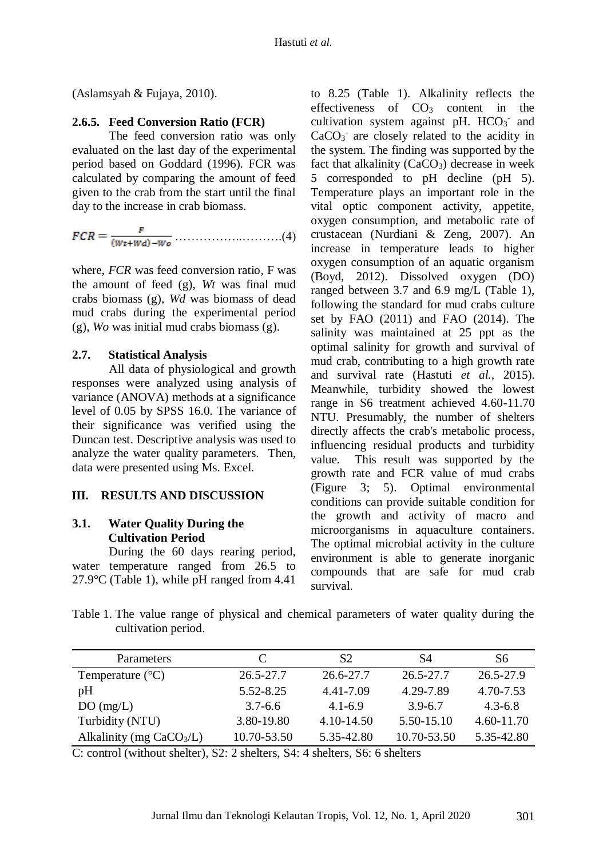(Aslamsyah & Fujaya, 2010).

#### **2.6.5. Feed Conversion Ratio (FCR)**

The feed conversion ratio was only evaluated on the last day of the experimental period based on Goddard (1996). FCR was calculated by comparing the amount of feed given to the crab from the start until the final day to the increase in crab biomass.

……………..……….(4)

where, *FCR* was feed conversion ratio, F was the amount of feed (g), *Wt* was final mud crabs biomass (g), *Wd* was biomass of dead mud crabs during the experimental period (g), *Wo* was initial mud crabs biomass (g).

#### **2.7. Statistical Analysis**

All data of physiological and growth responses were analyzed using analysis of variance (ANOVA) methods at a significance level of 0.05 by SPSS 16.0. The variance of their significance was verified using the Duncan test. Descriptive analysis was used to analyze the water quality parameters. Then, data were presented using Ms. Excel.

#### **III. RESULTS AND DISCUSSION**

# **3.1. Water Quality During the Cultivation Period**

During the 60 days rearing period, water temperature ranged from 26.5 to 27.9°C (Table 1), while pH ranged from 4.41 to 8.25 (Table 1). Alkalinity reflects the effectiveness of  $CO<sub>3</sub>$  content in the cultivation system against pH.  $HCO<sub>3</sub>$  and  $CaCO<sub>3</sub>$  are closely related to the acidity in the system. The finding was supported by the fact that alkalinity  $(CaCO<sub>3</sub>)$  decrease in week 5 corresponded to pH decline (pH 5). Temperature plays an important role in the vital optic component activity, appetite, oxygen consumption, and metabolic rate of crustacean (Nurdiani & Zeng, 2007). An increase in temperature leads to higher oxygen consumption of an aquatic organism (Boyd, 2012). Dissolved oxygen (DO) ranged between 3.7 and 6.9 mg/L (Table 1), following the standard for mud crabs culture set by FAO (2011) and FAO (2014). The salinity was maintained at 25 ppt as the optimal salinity for growth and survival of mud crab, contributing to a high growth rate and survival rate (Hastuti *et al.,* 2015). Meanwhile, turbidity showed the lowest range in S6 treatment achieved 4.60-11.70 NTU. Presumably, the number of shelters directly affects the crab's metabolic process, influencing residual products and turbidity value. This result was supported by the growth rate and FCR value of mud crabs (Figure 3; 5). Optimal environmental conditions can provide suitable condition for the growth and activity of macro and microorganisms in aquaculture containers. The optimal microbial activity in the culture environment is able to generate inorganic compounds that are safe for mud crab survival.

Table 1. The value range of physical and chemical parameters of water quality during the cultivation period.

| Parameters                 | C             | S <sub>2</sub> | S4          | S6          |
|----------------------------|---------------|----------------|-------------|-------------|
| Temperature $(^{\circ}C)$  | $26.5 - 27.7$ | 26.6-27.7      | 26.5-27.7   | 26.5-27.9   |
| pH                         | $5.52 - 8.25$ | 4.41-7.09      | 4.29-7.89   | 4.70-7.53   |
| DO(mg/L)                   | $3.7 - 6.6$   | $4.1 - 6.9$    | $3.9 - 6.7$ | $4.3 - 6.8$ |
| Turbidity (NTU)            | 3.80-19.80    | $4.10 - 14.50$ | 5.50-15.10  | 4.60-11.70  |
| Alkalinity (mg $CaCO3/L$ ) | 10.70-53.50   | 5.35-42.80     | 10.70-53.50 | 5.35-42.80  |

C: control (without shelter), S2: 2 shelters, S4: 4 shelters, S6: 6 shelters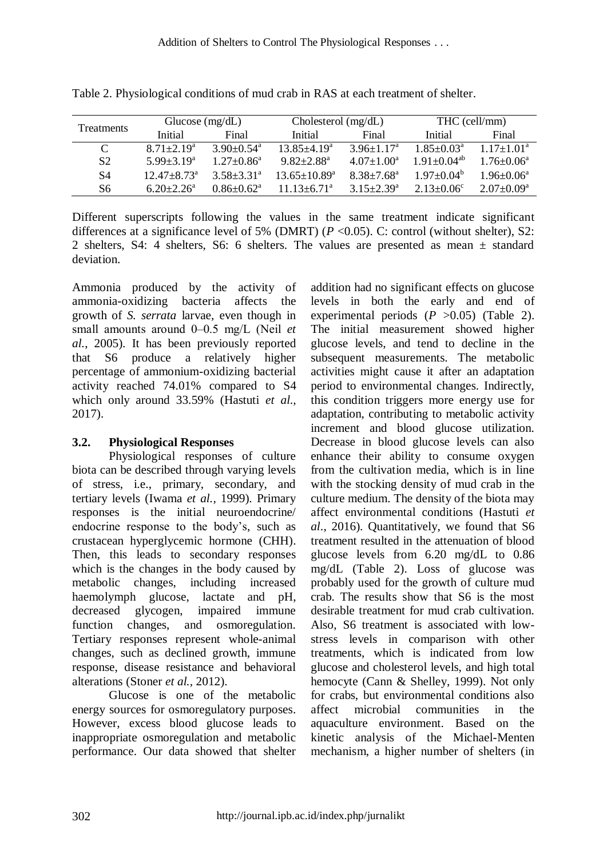| <b>Treatments</b> | Glucose $(mg/dL)$      |                            | Cholesterol $(mg/dL)$          |                              | THC (cell/mm)         |                            |
|-------------------|------------------------|----------------------------|--------------------------------|------------------------------|-----------------------|----------------------------|
|                   | Initial                | Final                      | Initial                        | Final                        | <b>Initial</b>        | Final                      |
| $\epsilon$        | $8.71 \pm 2.19^a$      | $3.90 + 0.54$ <sup>a</sup> | $13.85 + 4.19^a$               | $3.96 + 1.17$ <sup>a</sup>   | $1.85 + 0.03a$        | $1.17+1.01^a$              |
| S <sub>2</sub>    | $5.99 + 3.19^a$        | $1.27 + 0.86^a$            | $9.82 + 2.88$ <sup>a</sup>     | $4.07 \pm 1.00^{\text{a}}$   | $1.91 \pm 0.04^{ab}$  | $1.76 \pm 0.06^{\text{a}}$ |
| S4                | $12.47 + 8.73^{\circ}$ | $3.58 + 3.31^a$            | $13.65 \pm 10.89^{\mathrm{a}}$ | $8.38 + 7.68$ <sup>a</sup>   | $1.97 \pm 0.04^b$     | $1.96 + 0.06^a$            |
| S6                | $6.20 + 2.26^a$        | $0.86 + 0.62^a$            | $11.13 + 6.71^a$               | $3.15 \pm 2.39^{\mathrm{a}}$ | $2.13 + 0.06^{\circ}$ | $2.07+0.09^a$              |

Table 2. Physiological conditions of mud crab in RAS at each treatment of shelter.

Different superscripts following the values in the same treatment indicate significant differences at a significance level of 5% (DMRT) (*P* <0.05). C: control (without shelter), S2: 2 shelters, S4: 4 shelters, S6: 6 shelters. The values are presented as mean ± standard deviation.

Ammonia produced by the activity of ammonia-oxidizing bacteria affects the growth of *S. serrata* larvae, even though in small amounts around 0–0.5 mg/L (Neil *et al.*, 2005). It has been previously reported that S6 produce a relatively higher percentage of ammonium-oxidizing bacterial activity reached 74.01% compared to S4 which only around 33.59% (Hastuti *et al.,* 2017).

# **3.2. Physiological Responses**

Physiological responses of culture biota can be described through varying levels of stress, i.e., primary, secondary, and tertiary levels (Iwama *et al.,* 1999). Primary responses is the initial neuroendocrine/ endocrine response to the body's, such as crustacean hyperglycemic hormone (CHH). Then, this leads to secondary responses which is the changes in the body caused by metabolic changes, including increased haemolymph glucose, lactate and pH, decreased glycogen, impaired immune function changes, and osmoregulation. Tertiary responses represent whole-animal changes, such as declined growth, immune response, disease resistance and behavioral alterations (Stoner *et al.,* 2012).

Glucose is one of the metabolic energy sources for osmoregulatory purposes. However, excess blood glucose leads to inappropriate osmoregulation and metabolic performance. Our data showed that shelter

addition had no significant effects on glucose levels in both the early and end of experimental periods  $(P > 0.05)$  (Table 2). The initial measurement showed higher glucose levels, and tend to decline in the subsequent measurements. The metabolic activities might cause it after an adaptation period to environmental changes. Indirectly, this condition triggers more energy use for adaptation, contributing to metabolic activity increment and blood glucose utilization. Decrease in blood glucose levels can also enhance their ability to consume oxygen from the cultivation media, which is in line with the stocking density of mud crab in the culture medium. The density of the biota may affect environmental conditions (Hastuti *et al*., 2016). Quantitatively, we found that S6 treatment resulted in the attenuation of blood glucose levels from 6.20 mg/dL to 0.86 mg/dL (Table 2). Loss of glucose was probably used for the growth of culture mud crab. The results show that S6 is the most desirable treatment for mud crab cultivation. Also, S6 treatment is associated with lowstress levels in comparison with other treatments, which is indicated from low glucose and cholesterol levels, and high total hemocyte (Cann & Shelley, 1999). Not only for crabs, but environmental conditions also affect microbial communities in the aquaculture environment. Based on the kinetic analysis of the Michael-Menten mechanism, a higher number of shelters (in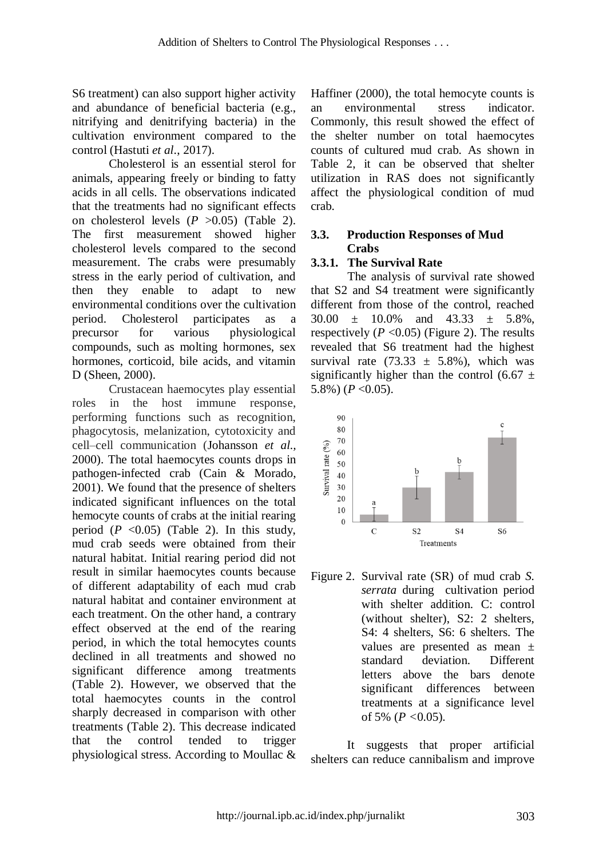S6 treatment) can also support higher activity and abundance of beneficial bacteria (e.g., nitrifying and denitrifying bacteria) in the cultivation environment compared to the control (Hastuti *et al*., 2017).

Cholesterol is an essential sterol for animals, appearing freely or binding to fatty acids in all cells. The observations indicated that the treatments had no significant effects on cholesterol levels  $(P > 0.05)$  (Table 2). The first measurement showed higher cholesterol levels compared to the second measurement. The crabs were presumably stress in the early period of cultivation, and then they enable to adapt to new environmental conditions over the cultivation period. Cholesterol participates as a precursor for various physiological compounds, such as molting hormones, sex hormones, corticoid, bile acids, and vitamin D (Sheen, 2000).

Crustacean haemocytes play essential roles in the host immune response, performing functions such as recognition, phagocytosis, melanization, cytotoxicity and cell–cell communication (Johansson *et al.,* 2000). The total haemocytes counts drops in pathogen-infected crab (Cain & Morado, 2001). We found that the presence of shelters indicated significant influences on the total hemocyte counts of crabs at the initial rearing period  $(P \le 0.05)$  (Table 2). In this study, mud crab seeds were obtained from their natural habitat. Initial rearing period did not result in similar haemocytes counts because of different adaptability of each mud crab natural habitat and container environment at each treatment. On the other hand, a contrary effect observed at the end of the rearing period, in which the total hemocytes counts declined in all treatments and showed no significant difference among treatments (Table 2). However, we observed that the total haemocytes counts in the control sharply decreased in comparison with other treatments (Table 2). This decrease indicated that the control tended to trigger physiological stress. According to Moullac & Haffiner (2000), the total hemocyte counts is an environmental stress indicator. Commonly, this result showed the effect of the shelter number on total haemocytes counts of cultured mud crab. As shown in Table 2, it can be observed that shelter utilization in RAS does not significantly affect the physiological condition of mud crab.

## **3.3. Production Responses of Mud Crabs**

# **3.3.1. The Survival Rate**

The analysis of survival rate showed that S2 and S4 treatment were significantly different from those of the control, reached  $30.00 + 10.0\%$  and  $43.33 + 5.8\%$ . respectively  $(P \le 0.05)$  (Figure 2). The results revealed that S6 treatment had the highest survival rate  $(73.33 \pm 5.8\%)$ , which was significantly higher than the control (6.67  $\pm$ 5.8%) ( $P < 0.05$ ).



Figure 2. Survival rate (SR) of mud crab *S. serrata* during cultivation period with shelter addition. C: control (without shelter), S2: 2 shelters, S4: 4 shelters, S6: 6 shelters. The values are presented as mean ± standard deviation. Different letters above the bars denote significant differences between treatments at a significance level of 5% (*P <*0.05).

It suggests that proper artificial shelters can reduce cannibalism and improve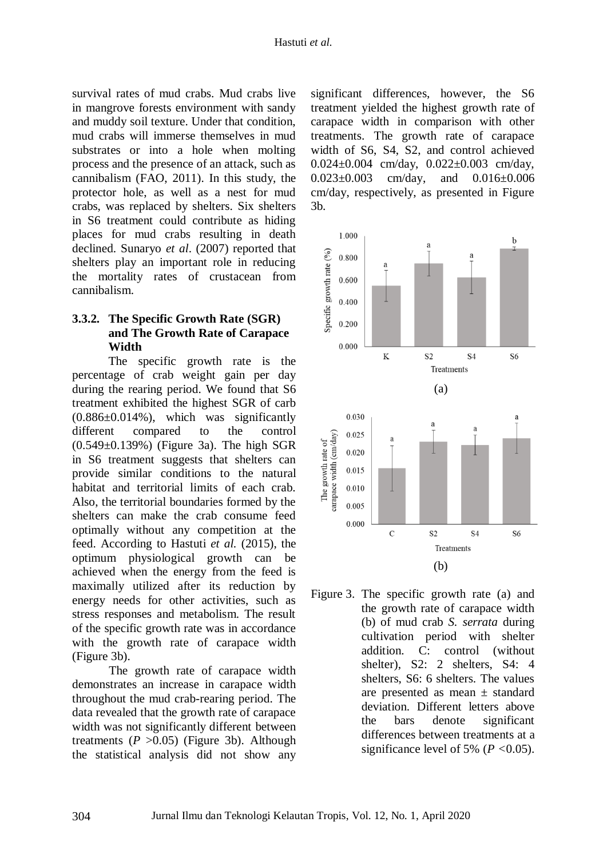survival rates of mud crabs. Mud crabs live in mangrove forests environment with sandy and muddy soil texture. Under that condition, mud crabs will immerse themselves in mud substrates or into a hole when molting process and the presence of an attack, such as cannibalism (FAO, 2011). In this study, the protector hole, as well as a nest for mud crabs, was replaced by shelters. Six shelters in S6 treatment could contribute as hiding places for mud crabs resulting in death declined. Sunaryo *et al*. (2007) reported that shelters play an important role in reducing the mortality rates of crustacean from cannibalism.

## **3.3.2. The Specific Growth Rate (SGR) and The Growth Rate of Carapace Width**

The specific growth rate is the percentage of crab weight gain per day during the rearing period. We found that S6 treatment exhibited the highest SGR of carb  $(0.886\pm0.014\%)$ , which was significantly different compared to the control (0.549±0.139%) (Figure 3a). The high SGR in S6 treatment suggests that shelters can provide similar conditions to the natural habitat and territorial limits of each crab. Also, the territorial boundaries formed by the shelters can make the crab consume feed optimally without any competition at the feed. According to Hastuti *et al.* (2015), the optimum physiological growth can be achieved when the energy from the feed is maximally utilized after its reduction by energy needs for other activities, such as stress responses and metabolism. The result of the specific growth rate was in accordance with the growth rate of carapace width (Figure 3b).

The growth rate of carapace width demonstrates an increase in carapace width throughout the mud crab-rearing period. The data revealed that the growth rate of carapace width was not significantly different between treatments  $(P > 0.05)$  (Figure 3b). Although the statistical analysis did not show any

significant differences, however, the S6 treatment yielded the highest growth rate of carapace width in comparison with other treatments. The growth rate of carapace width of S6, S4, S2, and control achieved 0.024±0.004 cm/day, 0.022±0.003 cm/day, 0.023±0.003 cm/day, and 0.016±0.006 cm/day, respectively, as presented in Figure 3b.



Figure 3. The specific growth rate (a) and the growth rate of carapace width (b) of mud crab *S. serrata* during cultivation period with shelter addition. C: control (without shelter), S2: 2 shelters, S4: 4 shelters, S6: 6 shelters. The values are presented as mean ± standard deviation. Different letters above the bars denote significant differences between treatments at a significance level of 5% (*P <*0.05).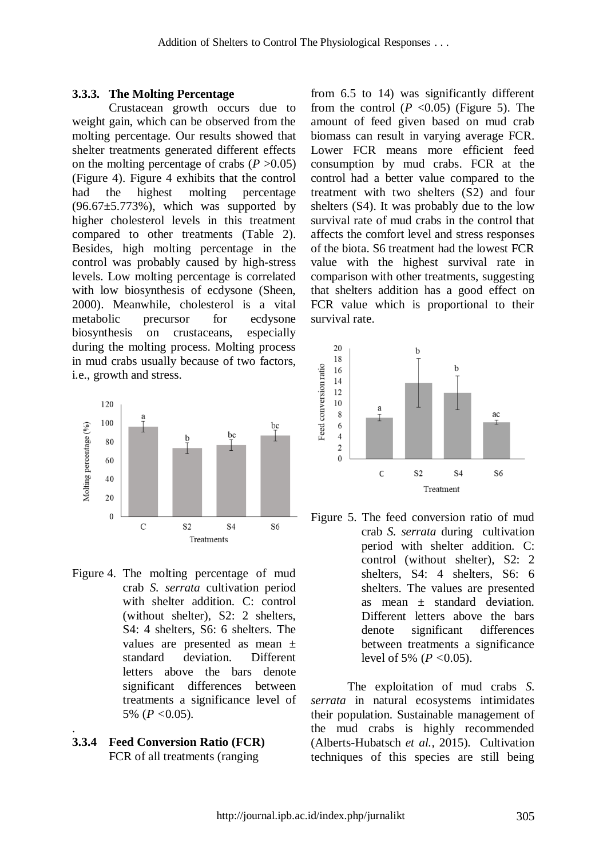#### **3.3.3. The Molting Percentage**

Crustacean growth occurs due to weight gain, which can be observed from the molting percentage. Our results showed that shelter treatments generated different effects on the molting percentage of crabs  $(P > 0.05)$ (Figure 4). Figure 4 exhibits that the control had the highest molting percentage  $(96.67 \pm 5.773\%)$ , which was supported by higher cholesterol levels in this treatment compared to other treatments (Table 2). Besides, high molting percentage in the control was probably caused by high-stress levels. Low molting percentage is correlated with low biosynthesis of ecdysone (Sheen, 2000). Meanwhile, cholesterol is a vital metabolic precursor for ecdysone biosynthesis on crustaceans, especially during the molting process. Molting process in mud crabs usually because of two factors, i.e., growth and stress.



- Figure 4. The molting percentage of mud crab *S. serrata* cultivation period with shelter addition. C: control (without shelter), S2: 2 shelters, S4: 4 shelters, S6: 6 shelters. The values are presented as mean ± standard deviation. Different letters above the bars denote significant differences between treatments a significance level of 5% (*P <*0.05).
- **3.3.4 Feed Conversion Ratio (FCR)** FCR of all treatments (ranging

.

from 6.5 to 14) was significantly different from the control  $(P \le 0.05)$  (Figure 5). The amount of feed given based on mud crab biomass can result in varying average FCR. Lower FCR means more efficient feed consumption by mud crabs. FCR at the control had a better value compared to the treatment with two shelters (S2) and four shelters (S4). It was probably due to the low survival rate of mud crabs in the control that affects the comfort level and stress responses of the biota. S6 treatment had the lowest FCR value with the highest survival rate in comparison with other treatments, suggesting that shelters addition has a good effect on FCR value which is proportional to their survival rate.



Figure 5. The feed conversion ratio of mud crab *S. serrata* during cultivation period with shelter addition. C: control (without shelter), S2: 2 shelters, S4: 4 shelters, S6: 6 shelters. The values are presented as mean  $\pm$  standard deviation. Different letters above the bars denote significant differences between treatments a significance level of 5% (*P <*0.05).

The exploitation of mud crabs *S. serrata* in natural ecosystems intimidates their population. Sustainable management of the mud crabs is highly recommended (Alberts-Hubatsch *et al.,* 2015). Cultivation techniques of this species are still being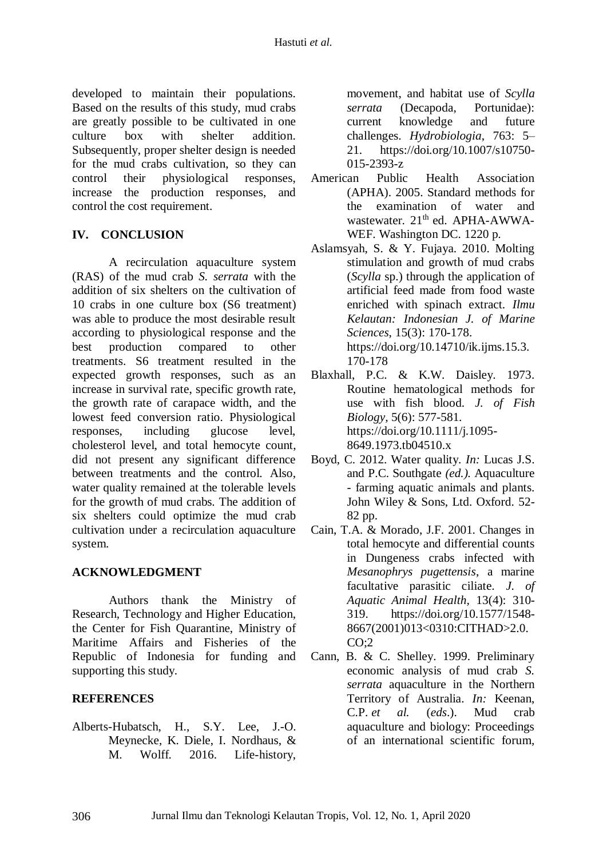developed to maintain their populations. Based on the results of this study, mud crabs are greatly possible to be cultivated in one culture box with shelter addition. Subsequently, proper shelter design is needed for the mud crabs cultivation, so they can control their physiological responses, increase the production responses, and control the cost requirement.

## **IV. CONCLUSION**

A recirculation aquaculture system (RAS) of the mud crab *S. serrata* with the addition of six shelters on the cultivation of 10 crabs in one culture box (S6 treatment) was able to produce the most desirable result according to physiological response and the best production compared to other treatments. S6 treatment resulted in the expected growth responses, such as an increase in survival rate, specific growth rate, the growth rate of carapace width, and the lowest feed conversion ratio. Physiological responses, including glucose level, cholesterol level, and total hemocyte count, did not present any significant difference between treatments and the control. Also, water quality remained at the tolerable levels for the growth of mud crabs. The addition of six shelters could optimize the mud crab cultivation under a recirculation aquaculture system.

### **ACKNOWLEDGMENT**

Authors thank the Ministry of Research, Technology and Higher Education, the Center for Fish Quarantine, Ministry of Maritime Affairs and Fisheries of the Republic of Indonesia for funding and supporting this study.

# **REFERENCES**

Alberts-Hubatsch, H., S.Y. Lee, J.-O. Meynecke, K. Diele, I. Nordhaus, & M. Wolff. 2016. Life-history,

movement, and habitat use of *Scylla serrata* (Decapoda, Portunidae): current knowledge and future challenges. *Hydrobiologia*, 763: 5– 21. [https://doi.org/10.1007/s10750-](https://doi.org/10.1007/s10750-015-2393-z) [015-2393-z](https://doi.org/10.1007/s10750-015-2393-z)

- American Public Health Association (APHA). 2005. Standard methods for the examination of water and wastewater. 21<sup>th</sup> ed. APHA-AWWA-WEF. Washington DC. 1220 p.
- Aslamsyah, S. & Y. Fujaya. 2010. Molting stimulation and growth of mud crabs (*Scylla* sp.) through the application of artificial feed made from food waste enriched with spinach extract. *Ilmu Kelautan: Indonesian J. of Marine Sciences*, 15(3): 170-178. https://doi.org/10.14710/ik.ijms.15.3. 170-178
- Blaxhall, P.C. & K.W. Daisley. 1973. Routine hematological methods for use with fish blood. *J. of Fish Biology,* 5(6): 577-581. https://doi.org/10.1111/j.1095- 8649.1973.tb04510.x
- Boyd, C. 2012. Water quality. *In:* Lucas J.S. and P.C. Southgate *(ed.).* Aquaculture - farming aquatic animals and plants. John Wiley & Sons, Ltd. Oxford. 52- 82 pp.
- Cain, T.A. & Morado, J.F. 2001. Changes in total hemocyte and differential counts in Dungeness crabs infected with *Mesanophrys pugettensis*, a marine facultative parasitic ciliate. *J. of Aquatic Animal Health,* 13(4): 310- 319. [https://doi.org/10.1577/1548-](https://doi.org/10.1577/1548-8667(2001)013%3C0310:CITHAD%3E2.0.CO;2) [8667\(2001\)013<0310:CITHAD>2.0.](https://doi.org/10.1577/1548-8667(2001)013%3C0310:CITHAD%3E2.0.CO;2)  $CO:2$
- Cann, B. & C. Shelley. 1999. Preliminary economic analysis of mud crab *S. serrata* aquaculture in the Northern Territory of Australia. *In:* Keenan, C.P. *et al.* (*eds*.). Mud crab aquaculture and biology: Proceedings of an international scientific forum*,*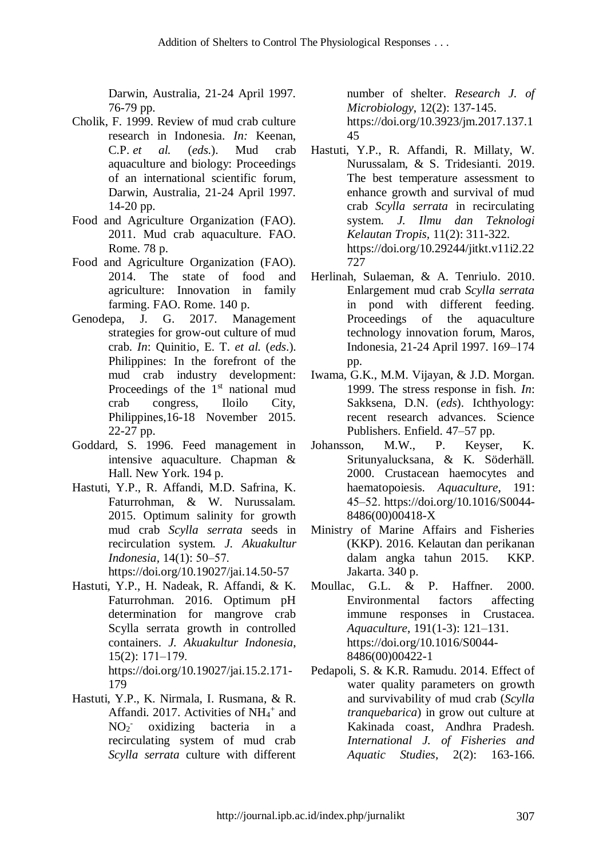Darwin, Australia, 21-24 April 1997*.* 76-79 pp.

- Cholik, F. 1999. Review of mud crab culture research in Indonesia. *In:* Keenan, C.P. *et al.* (*eds.*). Mud crab aquaculture and biology: Proceedings of an international scientific forum*,*  Darwin, Australia, 21-24 April 1997*.* 14-20 pp.
- Food and Agriculture Organization (FAO). 2011. Mud crab aquaculture. FAO. Rome. 78 p.
- Food and Agriculture Organization (FAO). 2014. The state of food and agriculture: Innovation in family farming. FAO. Rome. 140 p.
- Genodepa, J. G. 2017. Management strategies for grow-out culture of mud crab. *In*: Quinitio, E. T. *et al.* (*eds*.). Philippines: In the forefront of the mud crab industry development: Proceedings of the  $1<sup>st</sup>$  national mud crab congress, Iloilo City, Philippines,16-18 November 2015. 22-27 pp.
- Goddard, S. 1996. Feed management in intensive aquaculture. Chapman & Hall. New York. 194 p.
- Hastuti, Y.P., R. Affandi, M.D. Safrina, K. Faturrohman, & W. Nurussalam. 2015. Optimum salinity for growth mud crab *Scylla serrata* seeds in recirculation system. *J. Akuakultur Indonesia,* 14(1): 50‒57.

https://doi.org/10.19027/jai.14.50-57

- Hastuti, Y.P., H. Nadeak, R. Affandi, & K. Faturrohman. 2016. Optimum pH determination for mangrove crab Scylla serrata growth in controlled containers. *J. Akuakultur Indonesia*,  $15(2): 171-179.$ https://doi.org/10.19027/jai.15.2.171- 179
- Hastuti, Y.P., K. Nirmala, I. Rusmana, & R. Affandi. 2017. Activities of  $NH_4^+$  and  $NO<sub>2</sub>$ oxidizing bacteria in a recirculating system of mud crab *Scylla serrata* culture with different

number of shelter. *Research J. of Microbiology*, 12(2): 137-145. [https://doi.org/10.3923/jm.2017.137.1](https://doi.org/10.3923/jm.2017.137.145) [45](https://doi.org/10.3923/jm.2017.137.145)

- Hastuti, Y.P., R. Affandi, R. Millaty, W. Nurussalam, & S. Tridesianti. 2019. The best temperature assessment to enhance growth and survival of mud crab *Scylla serrata* in recirculating system. *J. Ilmu dan Teknologi Kelautan Tropis,* 11(2): 311-322. [https://doi.org/10.29244/jitkt.v11i2.22](https://doi.org/10.29244/jitkt.v11i2.22727) [727](https://doi.org/10.29244/jitkt.v11i2.22727)
- Herlinah, Sulaeman, & A. Tenriulo. 2010. Enlargement mud crab *Scylla serrata* in pond with different feeding. Proceedings of the technology innovation forum, Maros, Indonesia, 21-24 April 1997. 169‒174 pp.
- Iwama, G.K., M.M. Vijayan, & J.D. Morgan. 1999. The stress response in fish. *In*: Sakksena, D.N. (*eds*). Ichthyology: recent research advances. Science Publishers. Enfield. 47–57 pp.
- Johansson, M.W., P. Keyser, K. Sritunyalucksana, & K. Söderhäll. 2000. Crustacean haemocytes and haematopoiesis. *Aquaculture*, 191: 45‒52. [https://doi.org/10.1016/S0044-](https://doi.org/10.1016/S0044-8486(00)00418-X) [8486\(00\)00418-X](https://doi.org/10.1016/S0044-8486(00)00418-X)
- Ministry of Marine Affairs and Fisheries (KKP). 2016. Kelautan dan perikanan dalam angka tahun 2015. KKP. Jakarta. 340 p.
- Moullac, G.L. & P. Haffner. 2000. Environmental factors affecting immune responses in Crustacea. *Aquaculture*, 191(1-3): 121–131. [https://doi.org/10.1016/S0044-](https://doi.org/10.1016/S0044-8486(00)00422-1) [8486\(00\)00422-1](https://doi.org/10.1016/S0044-8486(00)00422-1)
- Pedapoli, S. & K.R. Ramudu. 2014. Effect of water quality parameters on growth and survivability of mud crab (*Scylla tranquebarica*) in grow out culture at Kakinada coast, Andhra Pradesh. *International J. of Fisheries and Aquatic Studies*, 2(2): 163-166.